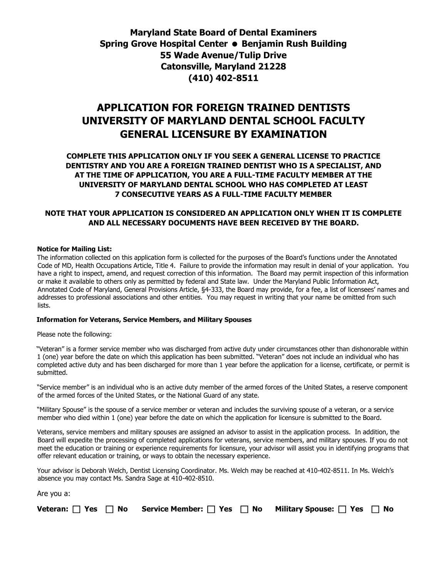## **Maryland State Board of Dental Examiners Spring Grove Hospital Center • Benjamin Rush Building 55 Wade Avenue/Tulip Drive Catonsville, Maryland 21228 (410) 402-8511**

# **APPLICATION FOR FOREIGN TRAINED DENTISTS UNIVERSITY OF MARYLAND DENTAL SCHOOL FACULTY GENERAL LICENSURE BY EXAMINATION**

**COMPLETE THIS APPLICATION ONLY IF YOU SEEK A GENERAL LICENSE TO PRACTICE DENTISTRY AND YOU ARE A FOREIGN TRAINED DENTIST WHO IS A SPECIALIST, AND AT THE TIME OF APPLICATION, YOU ARE A FULL-TIME FACULTY MEMBER AT THE UNIVERSITY OF MARYLAND DENTAL SCHOOL WHO HAS COMPLETED AT LEAST 7 CONSECUTIVE YEARS AS A FULL-TIME FACULTY MEMBER**

#### **NOTE THAT YOUR APPLICATION IS CONSIDERED AN APPLICATION ONLY WHEN IT IS COMPLETE AND ALL NECESSARY DOCUMENTS HAVE BEEN RECEIVED BY THE BOARD.**

#### **Notice for Mailing List:**

The information collected on this application form is collected for the purposes of the Board's functions under the Annotated Code of MD, Health Occupations Article, Title 4. Failure to provide the information may result in denial of your application. You have a right to inspect, amend, and request correction of this information. The Board may permit inspection of this information or make it available to others only as permitted by federal and State law. Under the Maryland Public Information Act, Annotated Code of Maryland, General Provisions Article, §4-333, the Board may provide, for a fee, a list of licensees' names and addresses to professional associations and other entities. You may request in writing that your name be omitted from such lists.

#### **Information for Veterans, Service Members, and Military Spouses**

Please note the following:

"Veteran" is a former service member who was discharged from active duty under circumstances other than dishonorable within 1 (one) year before the date on which this application has been submitted. "Veteran" does not include an individual who has completed active duty and has been discharged for more than 1 year before the application for a license, certificate, or permit is submitted.

"Service member" is an individual who is an active duty member of the armed forces of the United States, a reserve component of the armed forces of the United States, or the National Guard of any state.

"Military Spouse" is the spouse of a service member or veteran and includes the surviving spouse of a veteran, or a service member who died within 1 (one) year before the date on which the application for licensure is submitted to the Board.

Veterans, service members and military spouses are assigned an advisor to assist in the application process. In addition, the Board will expedite the processing of completed applications for veterans, service members, and military spouses. If you do not meet the education or training or experience requirements for licensure, your advisor will assist you in identifying programs that offer relevant education or training, or ways to obtain the necessary experience.

Your advisor is Deborah Welch, Dentist Licensing Coordinator. Ms. Welch may be reached at 410-402-8511. In Ms. Welch's absence you may contact Ms. Sandra Sage at 410-402-8510.

| Are you a: |                                                                                                          |  |
|------------|----------------------------------------------------------------------------------------------------------|--|
|            | Veteran: $\Box$ Yes $\Box$ No Service Member: $\Box$ Yes $\Box$ No Military Spouse: $\Box$ Yes $\Box$ No |  |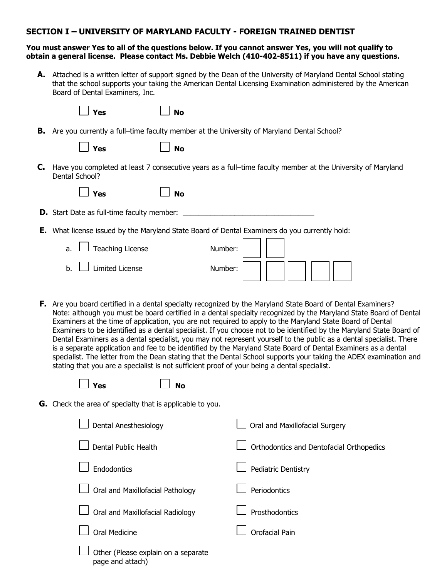#### **SECTION I – UNIVERSITY OF MARYLAND FACULTY - FOREIGN TRAINED DENTIST**

#### **You must answer Yes to all of the questions below. If you cannot answer Yes, you will not qualify to obtain a general license. Please contact Ms. Debbie Welch (410-402-8511) if you have any questions.**

**A.** Attached is a written letter of support signed by the Dean of the University of Maryland Dental School stating that the school supports your taking the American Dental Licensing Examination administered by the American Board of Dental Examiners, Inc.

| $\Box$ Yes         | $\Box$ No |                                                                                                     |
|--------------------|-----------|-----------------------------------------------------------------------------------------------------|
|                    |           | <b>B.</b> Are you currently a full-time faculty member at the University of Maryland Dental School? |
| $\blacksquare$ Yes | $\Box$ No |                                                                                                     |

**C.** Have you completed at least 7 consecutive years as a full–time faculty member at the University of Maryland Dental School?

| Yes |  | No |
|-----|--|----|
|     |  |    |

- **D.** Start Date as full-time faculty member: \_\_\_\_\_\_\_\_\_\_\_\_\_\_\_\_\_\_\_\_\_\_\_\_\_\_\_\_\_\_\_\_\_
- **E.** What license issued by the Maryland State Board of Dental Examiners do you currently hold:

| J Teaching License<br>a. ∟ | Number: |
|----------------------------|---------|
| Limited License<br>b.      | Number: |

**F.** Are you board certified in a dental specialty recognized by the Maryland State Board of Dental Examiners? Note: although you must be board certified in a dental specialty recognized by the Maryland State Board of Dental Examiners at the time of application, you are not required to apply to the Maryland State Board of Dental Examiners to be identified as a dental specialist. If you choose not to be identified by the Maryland State Board of Dental Examiners as a dental specialist, you may not represent yourself to the public as a dental specialist. There is a separate application and fee to be identified by the Maryland State Board of Dental Examiners as a dental specialist. The letter from the Dean stating that the Dental School supports your taking the ADEX examination and stating that you are a specialist is not sufficient proof of your being a dental specialist.

**Yes No**

**G.** Check the area of specialty that is applicable to you.

| Dental Anesthesiology                                   | Oral and Maxillofacial Surgery           |
|---------------------------------------------------------|------------------------------------------|
| Dental Public Health                                    | Orthodontics and Dentofacial Orthopedics |
| <b>Endodontics</b>                                      | <b>Pediatric Dentistry</b>               |
| Oral and Maxillofacial Pathology                        | Periodontics                             |
| Oral and Maxillofacial Radiology                        | Prosthodontics                           |
| Oral Medicine                                           | Orofacial Pain                           |
| Other (Please explain on a separate<br>page and attach) |                                          |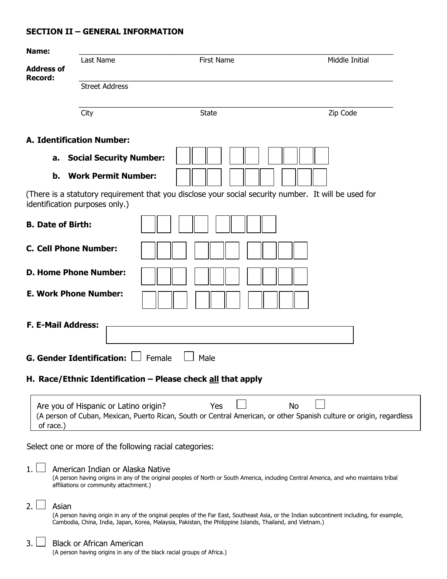### **SECTION II – GENERAL INFORMATION**

| Name:                        |                                                                                                            |                                                                                                                                                                                                                                                         |                                                                                                                                   |
|------------------------------|------------------------------------------------------------------------------------------------------------|---------------------------------------------------------------------------------------------------------------------------------------------------------------------------------------------------------------------------------------------------------|-----------------------------------------------------------------------------------------------------------------------------------|
| <b>Address of</b><br>Record: | Last Name                                                                                                  | <b>First Name</b>                                                                                                                                                                                                                                       | Middle Initial                                                                                                                    |
|                              | <b>Street Address</b>                                                                                      |                                                                                                                                                                                                                                                         |                                                                                                                                   |
|                              | City                                                                                                       | <b>State</b>                                                                                                                                                                                                                                            | Zip Code                                                                                                                          |
|                              | <b>A. Identification Number:</b>                                                                           |                                                                                                                                                                                                                                                         |                                                                                                                                   |
| a.                           | <b>Social Security Number:</b>                                                                             |                                                                                                                                                                                                                                                         |                                                                                                                                   |
| b.                           | <b>Work Permit Number:</b>                                                                                 |                                                                                                                                                                                                                                                         |                                                                                                                                   |
|                              | identification purposes only.)                                                                             | (There is a statutory requirement that you disclose your social security number. It will be used for                                                                                                                                                    |                                                                                                                                   |
| <b>B. Date of Birth:</b>     |                                                                                                            |                                                                                                                                                                                                                                                         |                                                                                                                                   |
| <b>C. Cell Phone Number:</b> |                                                                                                            |                                                                                                                                                                                                                                                         |                                                                                                                                   |
|                              | <b>D. Home Phone Number:</b>                                                                               |                                                                                                                                                                                                                                                         |                                                                                                                                   |
|                              | <b>E. Work Phone Number:</b>                                                                               |                                                                                                                                                                                                                                                         |                                                                                                                                   |
| <b>F. E-Mail Address:</b>    |                                                                                                            |                                                                                                                                                                                                                                                         |                                                                                                                                   |
|                              | <b>G. Gender Identification:</b>                                                                           | Female<br>Male                                                                                                                                                                                                                                          |                                                                                                                                   |
|                              |                                                                                                            | H. Race/Ethnic Identification - Please check all that apply                                                                                                                                                                                             |                                                                                                                                   |
| of race.)                    | Are you of Hispanic or Latino origin?                                                                      | Yes                                                                                                                                                                                                                                                     | <b>No</b><br>(A person of Cuban, Mexican, Puerto Rican, South or Central American, or other Spanish culture or origin, regardless |
|                              | Select one or more of the following racial categories:                                                     |                                                                                                                                                                                                                                                         |                                                                                                                                   |
| 1.                           | American Indian or Alaska Native<br>affiliations or community attachment.)                                 | (A person having origins in any of the original peoples of North or South America, including Central America, and who maintains tribal                                                                                                                  |                                                                                                                                   |
| 2.<br>Asian                  |                                                                                                            | (A person having origin in any of the original peoples of the Far East, Southeast Asia, or the Indian subcontinent including, for example,<br>Cambodia, China, India, Japan, Korea, Malaysia, Pakistan, the Philippine Islands, Thailand, and Vietnam.) |                                                                                                                                   |
| 3.                           | <b>Black or African American</b><br>(A person having origins in any of the black racial groups of Africa.) |                                                                                                                                                                                                                                                         |                                                                                                                                   |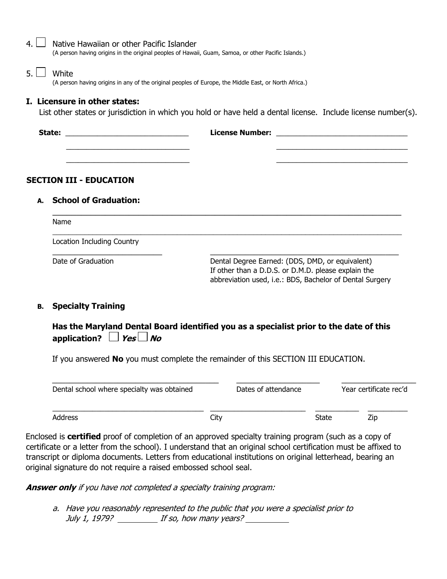| $\overline{4}$ . | Native Hawaiian or other Pacific Islander<br>(A person having origins in the original peoples of Hawaii, Guam, Samoa, or other Pacific Islands.) |                                                                                                        |  |  |  |  |  |  |
|------------------|--------------------------------------------------------------------------------------------------------------------------------------------------|--------------------------------------------------------------------------------------------------------|--|--|--|--|--|--|
| 5.1              | White<br>(A person having origins in any of the original peoples of Europe, the Middle East, or North Africa.)                                   |                                                                                                        |  |  |  |  |  |  |
|                  | I. Licensure in other states:<br>List other states or jurisdiction in which you hold or have held a dental license. Include license number(s).   |                                                                                                        |  |  |  |  |  |  |
|                  |                                                                                                                                                  |                                                                                                        |  |  |  |  |  |  |
|                  | <b>SECTION III - EDUCATION</b>                                                                                                                   |                                                                                                        |  |  |  |  |  |  |
| А.               | <b>School of Graduation:</b>                                                                                                                     |                                                                                                        |  |  |  |  |  |  |
|                  | <b>Name</b>                                                                                                                                      |                                                                                                        |  |  |  |  |  |  |
|                  | Location Including Country                                                                                                                       |                                                                                                        |  |  |  |  |  |  |
|                  | Date of Graduation                                                                                                                               | Dental Degree Earned: (DDS, DMD, or equivalent)<br>If other than a D.D.S. or D.M.D. please explain the |  |  |  |  |  |  |

#### **B. Specialty Training**

**Has the Maryland Dental Board identified you as a specialist prior to the date of this application?**  $\Box$  **Yes**  $\Box$  **No** 

abbreviation used, i.e.: BDS, Bachelor of Dental Surgery

If you answered **No** you must complete the remainder of this SECTION III EDUCATION.

| Dental school where specialty was obtained |      | Dates of attendance |       | Year certificate rec'd |
|--------------------------------------------|------|---------------------|-------|------------------------|
| Address                                    | City |                     | State | Zip                    |

Enclosed is **certified** proof of completion of an approved specialty training program (such as a copy of certificate or a letter from the school). I understand that an original school certification must be affixed to transcript or diploma documents. Letters from educational institutions on original letterhead, bearing an original signature do not require a raised embossed school seal.

**Answer only** if you have not completed a specialty training program:

a. Have you reasonably represented to the public that you were a specialist prior to July 1, 1979? If so, how many years?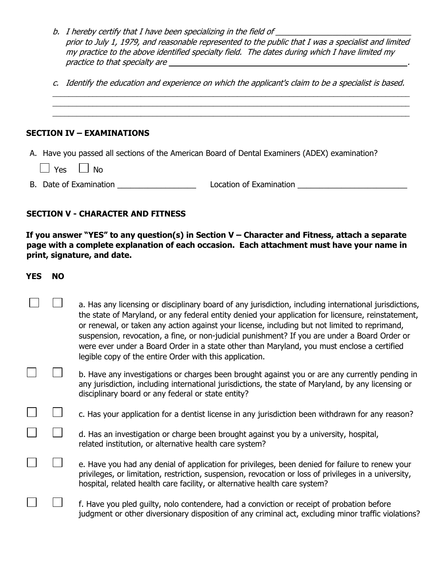- b. I hereby certify that I have been specializing in the field of  $\_\_$ prior to July 1, 1979, and reasonable represented to the public that I was a specialist and limited my practice to the above identified specialty field. The dates during which I have limited my practice to that specialty are <u>equal to the set of the set of the set of the set of the set of the set of the set of the set of the set of the set of the set of the set of the set of the set of the set of the set of the s</u>
- c. Identify the education and experience on which the applicant's claim to be a specialist is based. \_\_\_\_\_\_\_\_\_\_\_\_\_\_\_\_\_\_\_\_\_\_\_\_\_\_\_\_\_\_\_\_\_\_\_\_\_\_\_\_\_\_\_\_\_\_\_\_\_\_\_\_\_\_\_\_\_\_\_\_\_\_\_\_\_\_\_\_\_\_\_\_\_\_\_\_\_\_\_\_\_\_\_\_\_\_\_\_\_

\_\_\_\_\_\_\_\_\_\_\_\_\_\_\_\_\_\_\_\_\_\_\_\_\_\_\_\_\_\_\_\_\_\_\_\_\_\_\_\_\_\_\_\_\_\_\_\_\_\_\_\_\_\_\_\_\_\_\_\_\_\_\_\_\_\_\_\_\_\_\_\_\_\_\_\_\_\_\_\_\_\_\_\_\_\_\_\_\_

### **SECTION IV – EXAMINATIONS**

- A. Have you passed all sections of the American Board of Dental Examiners (ADEX) examination?
	- $\vert$   $\vert$  Yes  $\vert$   $\vert$  No
- B. Date of Examination **Examination Examination Examination Examination Examination**

## **SECTION V - CHARACTER AND FITNESS**

**If you answer "YES" to any question(s) in Section V – Character and Fitness, attach a separate page with a complete explanation of each occasion. Each attachment must have your name in print, signature, and date.**

#### **YES NO**

 $\vert \ \ \vert$ 

 $\Box$ 

| a. Has any licensing or disciplinary board of any jurisdiction, including international jurisdictions, |
|--------------------------------------------------------------------------------------------------------|
| the state of Maryland, or any federal entity denied your application for licensure, reinstatement,     |
| or renewal, or taken any action against your license, including but not limited to reprimand,          |
| suspension, revocation, a fine, or non-judicial punishment? If you are under a Board Order or          |
| were ever under a Board Order in a state other than Maryland, you must enclose a certified             |
| legible copy of the entire Order with this application.                                                |
|                                                                                                        |

- b. Have any investigations or charges been brought against you or are any currently pending in any jurisdiction, including international jurisdictions, the state of Maryland, by any licensing or disciplinary board or any federal or state entity?
	- $\Box$ c. Has your application for a dentist license in any jurisdiction been withdrawn for any reason?
		- d. Has an investigation or charge been brought against you by a university, hospital, related institution, or alternative health care system?
		- e. Have you had any denial of application for privileges, been denied for failure to renew your privileges, or limitation, restriction, suspension, revocation or loss of privileges in a university, hospital, related health care facility, or alternative health care system?
	- f. Have you pled guilty, nolo contendere, had a conviction or receipt of probation before judgment or other diversionary disposition of any criminal act, excluding minor traffic violations?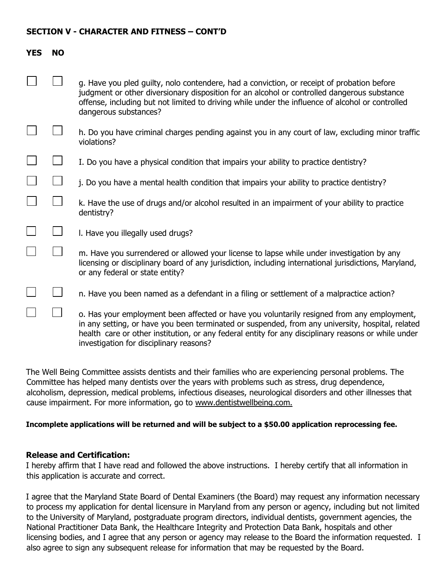#### **SECTION V - CHARACTER AND FITNESS – CONT'D**

| <b>YES</b> | <b>NO</b> |                                                                                                                                                                                                                                                                                                                                                  |
|------------|-----------|--------------------------------------------------------------------------------------------------------------------------------------------------------------------------------------------------------------------------------------------------------------------------------------------------------------------------------------------------|
|            |           | g. Have you pled guilty, nolo contendere, had a conviction, or receipt of probation before<br>judgment or other diversionary disposition for an alcohol or controlled dangerous substance<br>offense, including but not limited to driving while under the influence of alcohol or controlled<br>dangerous substances?                           |
|            |           | h. Do you have criminal charges pending against you in any court of law, excluding minor traffic<br>violations?                                                                                                                                                                                                                                  |
|            |           | I. Do you have a physical condition that impairs your ability to practice dentistry?                                                                                                                                                                                                                                                             |
|            |           | j. Do you have a mental health condition that impairs your ability to practice dentistry?                                                                                                                                                                                                                                                        |
|            |           | k. Have the use of drugs and/or alcohol resulted in an impairment of your ability to practice<br>dentistry?                                                                                                                                                                                                                                      |
|            |           | I. Have you illegally used drugs?                                                                                                                                                                                                                                                                                                                |
|            |           | m. Have you surrendered or allowed your license to lapse while under investigation by any<br>licensing or disciplinary board of any jurisdiction, including international jurisdictions, Maryland,<br>or any federal or state entity?                                                                                                            |
|            |           | n. Have you been named as a defendant in a filing or settlement of a malpractice action?                                                                                                                                                                                                                                                         |
|            |           | o. Has your employment been affected or have you voluntarily resigned from any employment,<br>in any setting, or have you been terminated or suspended, from any university, hospital, related<br>health care or other institution, or any federal entity for any disciplinary reasons or while under<br>investigation for disciplinary reasons? |

The Well Being Committee assists dentists and their families who are experiencing personal problems. The Committee has helped many dentists over the years with problems such as stress, drug dependence, alcoholism, depression, medical problems, infectious diseases, neurological disorders and other illnesses that cause impairment. For more information, go to www.dentistwellbeing.com.

#### **Incomplete applications will be returned and will be subject to a \$50.00 application reprocessing fee.**

#### **Release and Certification:**

I hereby affirm that I have read and followed the above instructions. I hereby certify that all information in this application is accurate and correct.

I agree that the Maryland State Board of Dental Examiners (the Board) may request any information necessary to process my application for dental licensure in Maryland from any person or agency, including but not limited to the University of Maryland, postgraduate program directors, individual dentists, government agencies, the National Practitioner Data Bank, the Healthcare Integrity and Protection Data Bank, hospitals and other licensing bodies, and I agree that any person or agency may release to the Board the information requested. I also agree to sign any subsequent release for information that may be requested by the Board.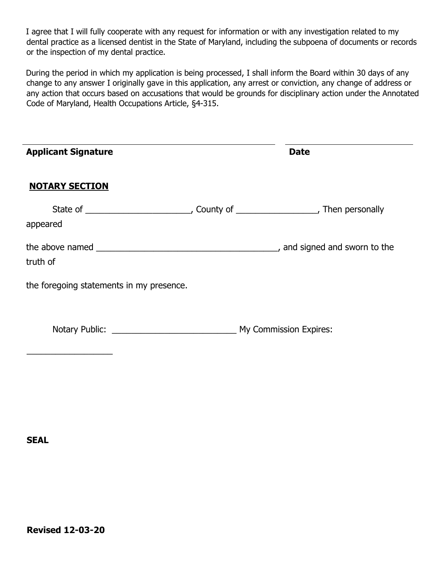I agree that I will fully cooperate with any request for information or with any investigation related to my dental practice as a licensed dentist in the State of Maryland, including the subpoena of documents or records or the inspection of my dental practice.

During the period in which my application is being processed, I shall inform the Board within 30 days of any change to any answer I originally gave in this application, any arrest or conviction, any change of address or any action that occurs based on accusations that would be grounds for disciplinary action under the Annotated Code of Maryland, Health Occupations Article, §4-315.

| <b>Applicant Signature</b>               | <b>Date</b> |
|------------------------------------------|-------------|
| <b>NOTARY SECTION</b>                    |             |
| appeared                                 |             |
| truth of                                 |             |
| the foregoing statements in my presence. |             |
|                                          |             |

**SEAL**

÷,

 $\overline{\phantom{a}}$  , and the set of the set of the set of the set of the set of the set of the set of the set of the set of the set of the set of the set of the set of the set of the set of the set of the set of the set of the s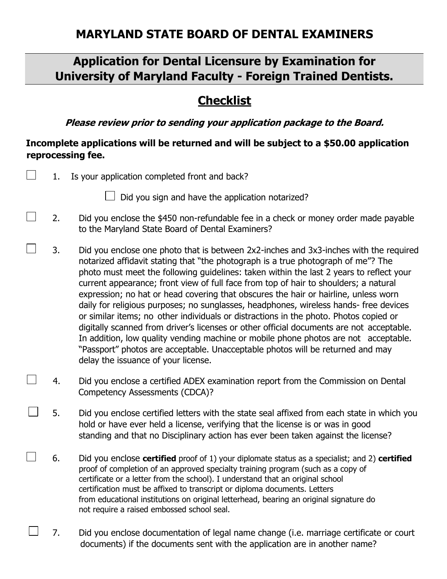# **Application for Dental Licensure by Examination for University of Maryland Faculty - Foreign Trained Dentists.**

# **Checklist**

**Please review prior to sending your application package to the Board.** 

# **Incomplete applications will be returned and will be subject to a \$50.00 application reprocessing fee.**

| 1. | Is your application completed front and back?                                                                                                                                                                                                                                                                                                                                                                                                                                                                                                                                                                                                                                                                                                                                                                                                                                                                                                      |
|----|----------------------------------------------------------------------------------------------------------------------------------------------------------------------------------------------------------------------------------------------------------------------------------------------------------------------------------------------------------------------------------------------------------------------------------------------------------------------------------------------------------------------------------------------------------------------------------------------------------------------------------------------------------------------------------------------------------------------------------------------------------------------------------------------------------------------------------------------------------------------------------------------------------------------------------------------------|
|    | Did you sign and have the application notarized?                                                                                                                                                                                                                                                                                                                                                                                                                                                                                                                                                                                                                                                                                                                                                                                                                                                                                                   |
| 2. | Did you enclose the \$450 non-refundable fee in a check or money order made payable<br>to the Maryland State Board of Dental Examiners?                                                                                                                                                                                                                                                                                                                                                                                                                                                                                                                                                                                                                                                                                                                                                                                                            |
| 3. | Did you enclose one photo that is between 2x2-inches and 3x3-inches with the required<br>notarized affidavit stating that "the photograph is a true photograph of me"? The<br>photo must meet the following guidelines: taken within the last 2 years to reflect your<br>current appearance; front view of full face from top of hair to shoulders; a natural<br>expression; no hat or head covering that obscures the hair or hairline, unless worn<br>daily for religious purposes; no sunglasses, headphones, wireless hands- free devices<br>or similar items; no other individuals or distractions in the photo. Photos copied or<br>digitally scanned from driver's licenses or other official documents are not acceptable.<br>In addition, low quality vending machine or mobile phone photos are not acceptable.<br>"Passport" photos are acceptable. Unacceptable photos will be returned and may<br>delay the issuance of your license. |
| 4. | Did you enclose a certified ADEX examination report from the Commission on Dental<br>Competency Assessments (CDCA)?                                                                                                                                                                                                                                                                                                                                                                                                                                                                                                                                                                                                                                                                                                                                                                                                                                |
| 5. | Did you enclose certified letters with the state seal affixed from each state in which you<br>hold or have ever held a license, verifying that the license is or was in good<br>standing and that no Disciplinary action has ever been taken against the license?                                                                                                                                                                                                                                                                                                                                                                                                                                                                                                                                                                                                                                                                                  |
| 6. | Did you enclose certified proof of 1) your diplomate status as a specialist; and 2) certified<br>proof of completion of an approved specialty training program (such as a copy of<br>certificate or a letter from the school). I understand that an original school<br>certification must be affixed to transcript or diploma documents. Letters<br>from educational institutions on original letterhead, bearing an original signature do<br>not require a raised embossed school seal.                                                                                                                                                                                                                                                                                                                                                                                                                                                           |

7. Did you enclose documentation of legal name change (i.e. marriage certificate or court documents) if the documents sent with the application are in another name?

 $\perp$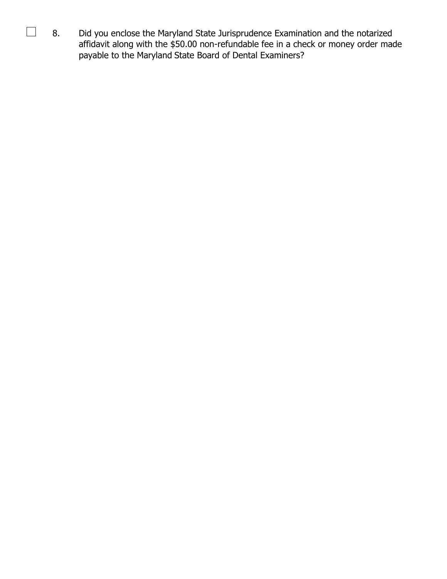8. Did you enclose the Maryland State Jurisprudence Examination and the notarized affidavit along with the \$50.00 non-refundable fee in a check or money order made payable to the Maryland State Board of Dental Examiners?

 $\mathcal{L}^{\text{eff}}$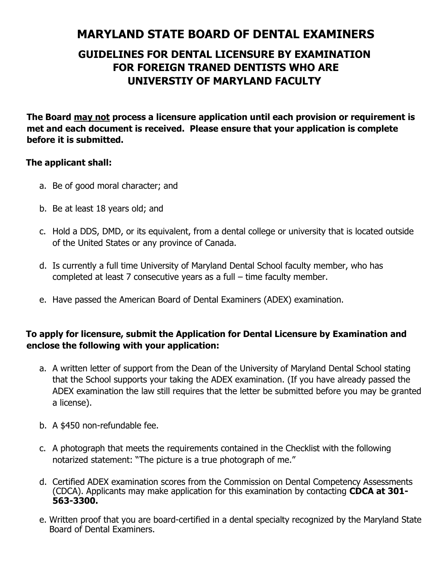# **MARYLAND STATE BOARD OF DENTAL EXAMINERS**

# **GUIDELINES FOR DENTAL LICENSURE BY EXAMINATION FOR FOREIGN TRANED DENTISTS WHO ARE UNIVERSTIY OF MARYLAND FACULTY**

**The Board may not process a licensure application until each provision or requirement is met and each document is received. Please ensure that your application is complete before it is submitted.** 

### **The applicant shall:**

- a. Be of good moral character; and
- b. Be at least 18 years old; and
- c. Hold a DDS, DMD, or its equivalent, from a dental college or university that is located outside of the United States or any province of Canada.
- d. Is currently a full time University of Maryland Dental School faculty member, who has completed at least 7 consecutive years as a full – time faculty member.
- e. Have passed the American Board of Dental Examiners (ADEX) examination.

## **To apply for licensure, submit the Application for Dental Licensure by Examination and enclose the following with your application:**

- a. A written letter of support from the Dean of the University of Maryland Dental School stating that the School supports your taking the ADEX examination. (If you have already passed the ADEX examination the law still requires that the letter be submitted before you may be granted a license).
- b. A \$450 non-refundable fee.
- c. A photograph that meets the requirements contained in the Checklist with the following notarized statement: "The picture is a true photograph of me."
- d. Certified ADEX examination scores from the Commission on Dental Competency Assessments (CDCA). Applicants may make application for this examination by contacting **CDCA at 301- 563-3300.**
- e. Written proof that you are board-certified in a dental specialty recognized by the Maryland State Board of Dental Examiners.